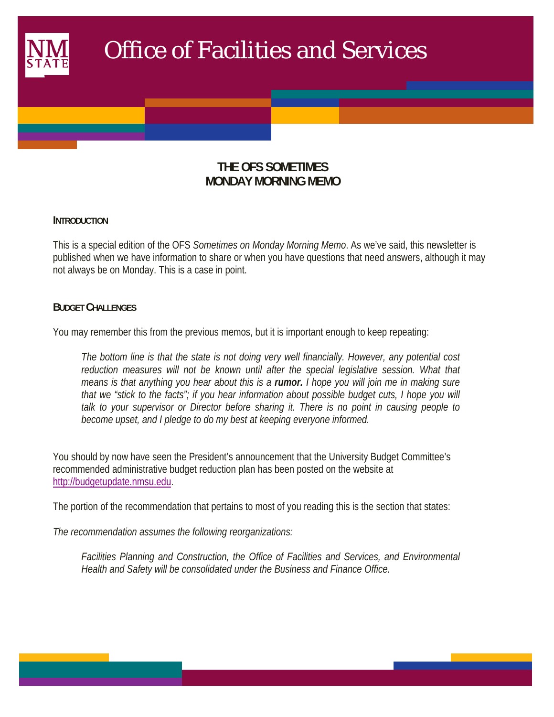

# **THE OFS SOMETIMES MONDAY MORNING MEMO**

#### **INTRODUCTION**

This is a special edition of the OFS *Sometimes on Monday Morning Memo*. As we've said, this newsletter is published when we have information to share or when you have questions that need answers, although it may not always be on Monday. This is a case in point.

#### **BUDGET CHALLENGES**

You may remember this from the previous memos, but it is important enough to keep repeating:

*The bottom line is that the state is not doing very well financially. However, any potential cost*  reduction measures will not be known until after the special legislative session. What that *means is that anything you hear about this is a rumor. I hope you will join me in making sure that we "stick to the facts"; if you hear information about possible budget cuts, I hope you will talk to your supervisor or Director before sharing it. There is no point in causing people to become upset, and I pledge to do my best at keeping everyone informed.* 

You should by now have seen the President's announcement that the University Budget Committee's recommended administrative budget reduction plan has been posted on the website at http://budgetupdate.nmsu.edu.

The portion of the recommendation that pertains to most of you reading this is the section that states:

*The recommendation assumes the following reorganizations:* 

*Facilities Planning and Construction, the Office of Facilities and Services, and Environmental Health and Safety will be consolidated under the Business and Finance Office.*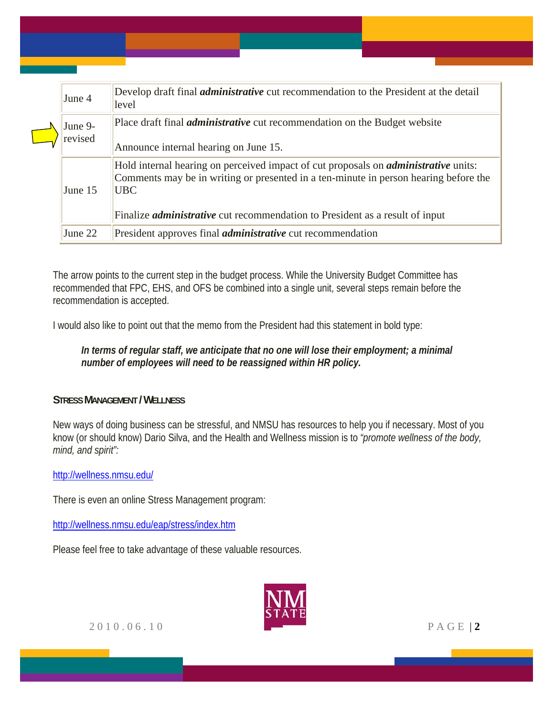| June 4             | Develop draft final <i>administrative</i> cut recommendation to the President at the detail<br>level                                                                                                                                                                                    |
|--------------------|-----------------------------------------------------------------------------------------------------------------------------------------------------------------------------------------------------------------------------------------------------------------------------------------|
| June 9-<br>revised | Place draft final <i>administrative</i> cut recommendation on the Budget website<br>Announce internal hearing on June 15.                                                                                                                                                               |
| June 15            | Hold internal hearing on perceived impact of cut proposals on <i>administrative</i> units:<br>Comments may be in writing or presented in a ten-minute in person hearing before the<br><b>UBC</b><br>Finalize <i>administrative</i> cut recommendation to President as a result of input |
| June 22            | President approves final <i>administrative</i> cut recommendation                                                                                                                                                                                                                       |

The arrow points to the current step in the budget process. While the University Budget Committee has recommended that FPC, EHS, and OFS be combined into a single unit, several steps remain before the recommendation is accepted.

I would also like to point out that the memo from the President had this statement in bold type:

### *In terms of regular staff, we anticipate that no one will lose their employment; a minimal number of employees will need to be reassigned within HR policy.*

## **STRESS MANAGEMENT / WELLNESS**

New ways of doing business can be stressful, and NMSU has resources to help you if necessary. Most of you know (or should know) Dario Silva, and the Health and Wellness mission is to *"promote wellness of the body, mind, and spirit":* 

http://wellness.nmsu.edu/

There is even an online Stress Management program:

http://wellness.nmsu.edu/eap/stress/index.htm

Please feel free to take advantage of these valuable resources.